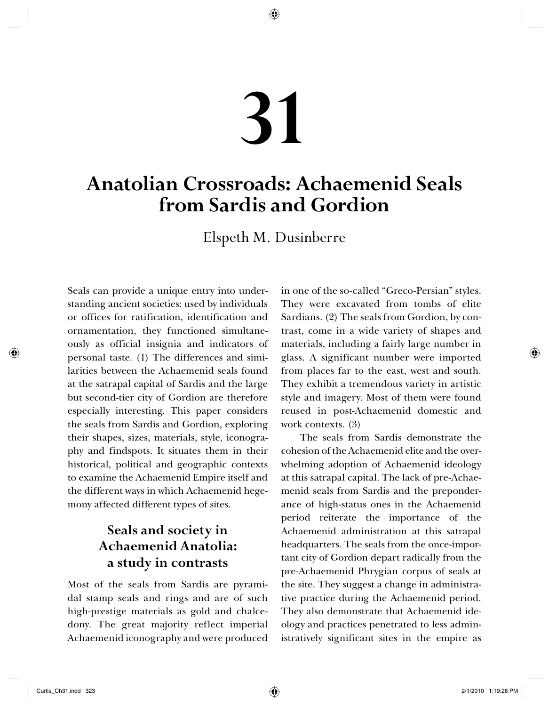# **31**

◈

# **Anatolian Crossroads: Achaemenid Seals from Sardis and Gordion**

Elspeth M. Dusinberre

Seals can provide a unique entry into understanding ancient societies: used by individuals or offices for ratification, identification and ornamentation, they functioned simultaneously as official insignia and indicators of personal taste. (1) The differences and similarities between the Achaemenid seals found at the satrapal capital of Sardis and the large but second-tier city of Gordion are therefore especially interesting. This paper considers the seals from Sardis and Gordion, exploring their shapes, sizes, materials, style, iconography and findspots. It situates them in their historical, political and geographic contexts to examine the Achaemenid Empire itself and the different ways in which Achaemenid hegemony affected different types of sites.

# **Seals and society in Achaemenid Anatolia: a study in contrasts**

Most of the seals from Sardis are pyramidal stamp seals and rings and are of such high-prestige materials as gold and chalcedony. The great majority reflect imperial Achaemenid iconography and were produced in one of the so-called "Greco-Persian" styles. They were excavated from tombs of elite Sardians. (2) The seals from Gordion, by contrast, come in a wide variety of shapes and materials, including a fairly large number in glass. A significant number were imported from places far to the east, west and south. They exhibit a tremendous variety in artistic style and imagery. Most of them were found reused in post-Achaemenid domestic and work contexts. (3)

The seals from Sardis demonstrate the cohesion of the Achaemenid elite and the overwhelming adoption of Achaemenid ideology at this satrapal capital. The lack of pre-Achaemenid seals from Sardis and the preponderance of high-status ones in the Achaemenid period reiterate the importance of the Achaemenid administration at this satrapal headquarters. The seals from the once-important city of Gordion depart radically from the pre-Achaemenid Phrygian corpus of seals at the site. They suggest a change in administrative practice during the Achaemenid period. They also demonstrate that Achaemenid ideology and practices penetrated to less administratively significant sites in the empire as

◈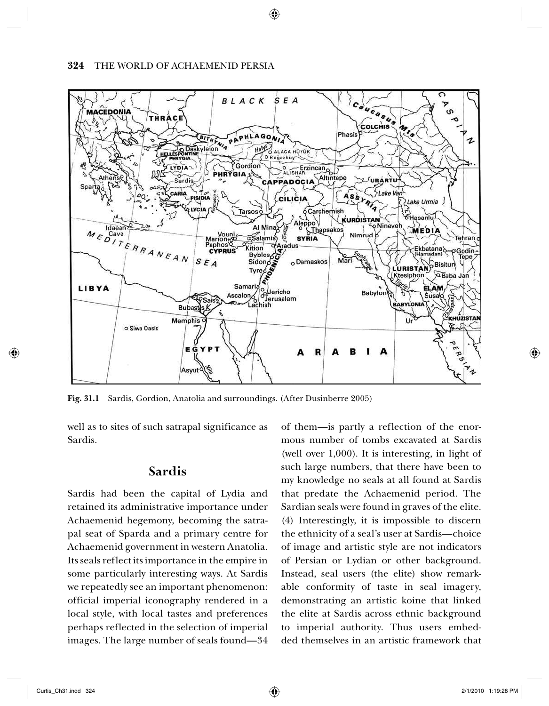#### **324** THE WORLD OF ACHAEMENID PERSIA



◈

**Fig. 31.1** Sardis, Gordion, Anatolia and surroundings. (After Dusinberre 2005)

well as to sites of such satrapal significance as Sardis.

### **Sardis**

Sardis had been the capital of Lydia and retained its administrative importance under Achaemenid hegemony, becoming the satrapal seat of Sparda and a primary centre for Achaemenid government in western Anatolia. Its seals reflect its importance in the empire in some particularly interesting ways. At Sardis we repeatedly see an important phenomenon: official imperial iconography rendered in a local style, with local tastes and preferences perhaps reflected in the selection of imperial images. The large number of seals found—34 of them—is partly a reflection of the enormous number of tombs excavated at Sardis (well over 1,000). It is interesting, in light of such large numbers, that there have been to my knowledge no seals at all found at Sardis that predate the Achaemenid period. The Sardian seals were found in graves of the elite. (4) Interestingly, it is impossible to discern the ethnicity of a seal's user at Sardis—choice of image and artistic style are not indicators of Persian or Lydian or other background. Instead, seal users (the elite) show remarkable conformity of taste in seal imagery, demonstrating an artistic koine that linked the elite at Sardis across ethnic background to imperial authority. Thus users embedded themselves in an artistic framework that

◈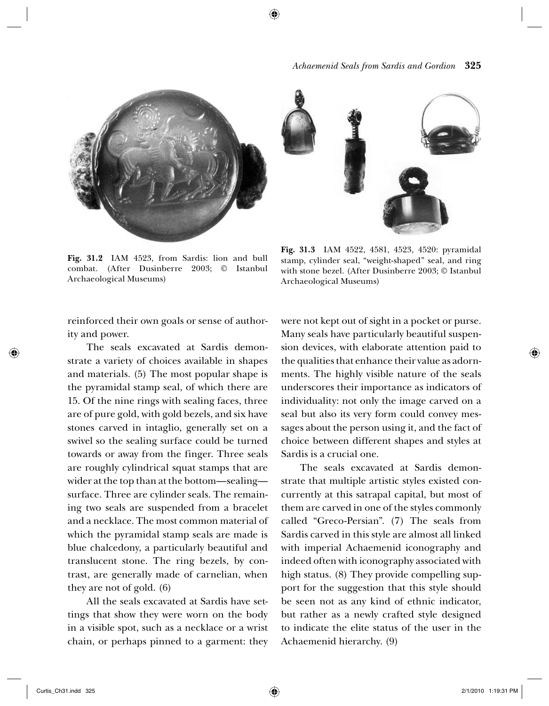



**Fig. 31.2** IAM 4523, from Sardis: lion and bull combat. (After Dusinberre 2003; © Istanbul Archaeological Museums)

**Fig. 31.3** IAM 4522, 4581, 4523, 4520: pyramidal stamp, cylinder seal, "weight-shaped" seal, and ring with stone bezel. (After Dusinberre 2003; © Istanbul Archaeological Museums)

reinforced their own goals or sense of authority and power.

The seals excavated at Sardis demonstrate a variety of choices available in shapes and materials. (5) The most popular shape is the pyramidal stamp seal, of which there are 15. Of the nine rings with sealing faces, three are of pure gold, with gold bezels, and six have stones carved in intaglio, generally set on a swivel so the sealing surface could be turned towards or away from the finger. Three seals are roughly cylindrical squat stamps that are wider at the top than at the bottom—sealing surface. Three are cylinder seals. The remaining two seals are suspended from a bracelet and a necklace. The most common material of which the pyramidal stamp seals are made is blue chalcedony, a particularly beautiful and translucent stone. The ring bezels, by contrast, are generally made of carnelian, when they are not of gold. (6)

All the seals excavated at Sardis have settings that show they were worn on the body in a visible spot, such as a necklace or a wrist chain, or perhaps pinned to a garment: they were not kept out of sight in a pocket or purse. Many seals have particularly beautiful suspension devices, with elaborate attention paid to the qualities that enhance their value as adornments. The highly visible nature of the seals underscores their importance as indicators of individuality: not only the image carved on a seal but also its very form could convey messages about the person using it, and the fact of choice between different shapes and styles at Sardis is a crucial one.

The seals excavated at Sardis demonstrate that multiple artistic styles existed concurrently at this satrapal capital, but most of them are carved in one of the styles commonly called "Greco-Persian". (7) The seals from Sardis carved in this style are almost all linked with imperial Achaemenid iconography and indeed often with iconography associated with high status. (8) They provide compelling support for the suggestion that this style should be seen not as any kind of ethnic indicator, but rather as a newly crafted style designed to indicate the elite status of the user in the Achaemenid hierarchy. (9)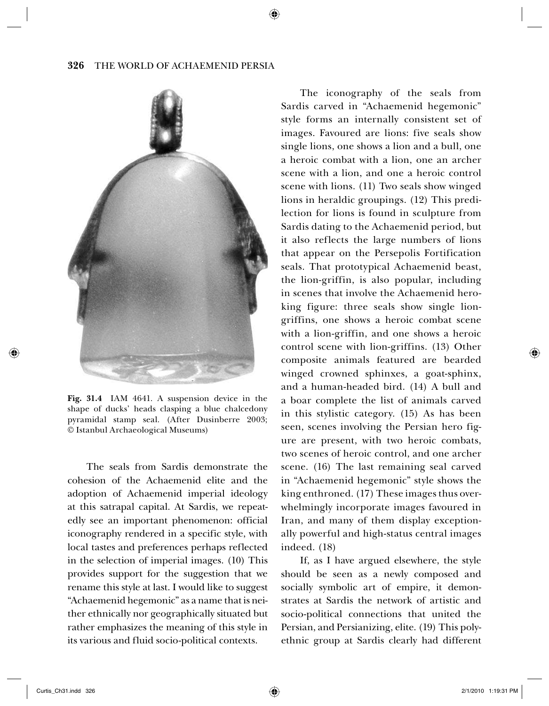↔



**Fig. 31.4** IAM 4641. A suspension device in the shape of ducks' heads clasping a blue chalcedony pyramidal stamp seal. (After Dusinberre 2003; © Istanbul Archaeological Museums)

The seals from Sardis demonstrate the cohesion of the Achaemenid elite and the adoption of Achaemenid imperial ideology at this satrapal capital. At Sardis, we repeatedly see an important phenomenon: official iconography rendered in a specific style, with local tastes and preferences perhaps reflected in the selection of imperial images. (10) This provides support for the suggestion that we rename this style at last. I would like to suggest "Achaemenid hegemonic" as a name that is neither ethnically nor geographically situated but rather emphasizes the meaning of this style in its various and fluid socio-political contexts.

The iconography of the seals from Sardis carved in "Achaemenid hegemonic" style forms an internally consistent set of images. Favoured are lions: five seals show single lions, one shows a lion and a bull, one a heroic combat with a lion, one an archer scene with a lion, and one a heroic control scene with lions. (11) Two seals show winged lions in heraldic groupings. (12) This predilection for lions is found in sculpture from Sardis dating to the Achaemenid period, but it also reflects the large numbers of lions that appear on the Persepolis Fortification seals. That prototypical Achaemenid beast, the lion-griffin, is also popular, including in scenes that involve the Achaemenid heroking figure: three seals show single liongriffins, one shows a heroic combat scene with a lion-griffin, and one shows a heroic control scene with lion-griffins. (13) Other composite animals featured are bearded winged crowned sphinxes, a goat-sphinx, and a human-headed bird. (14) A bull and a boar complete the list of animals carved in this stylistic category. (15) As has been seen, scenes involving the Persian hero figure are present, with two heroic combats, two scenes of heroic control, and one archer scene. (16) The last remaining seal carved in "Achaemenid hegemonic" style shows the king enthroned. (17) These images thus overwhelmingly incorporate images favoured in Iran, and many of them display exceptionally powerful and high-status central images indeed. (18)

If, as I have argued elsewhere, the style should be seen as a newly composed and socially symbolic art of empire, it demonstrates at Sardis the network of artistic and socio-political connections that united the Persian, and Persianizing, elite. (19) This polyethnic group at Sardis clearly had different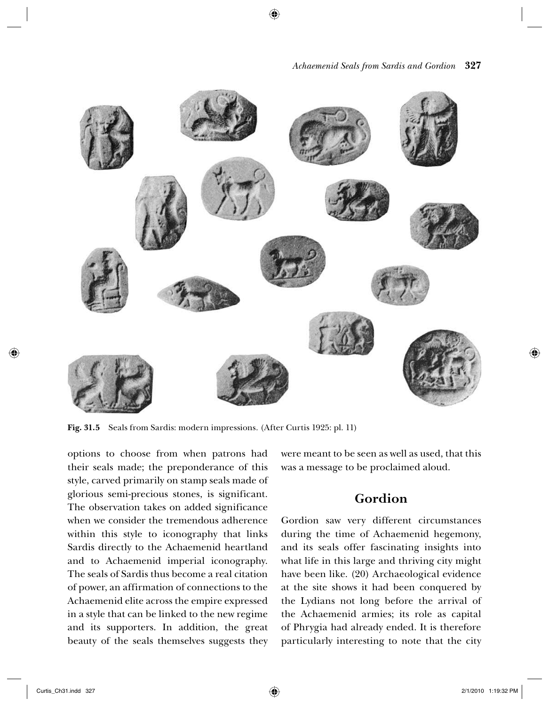



**Fig. 31.5** Seals from Sardis: modern impressions. (After Curtis 1925: pl. 11)

options to choose from when patrons had their seals made; the preponderance of this style, carved primarily on stamp seals made of glorious semi-precious stones, is significant. The observation takes on added significance when we consider the tremendous adherence within this style to iconography that links Sardis directly to the Achaemenid heartland and to Achaemenid imperial iconography. The seals of Sardis thus become a real citation of power, an affirmation of connections to the Achaemenid elite across the empire expressed in a style that can be linked to the new regime and its supporters. In addition, the great beauty of the seals themselves suggests they were meant to be seen as well as used, that this was a message to be proclaimed aloud.

## **Gordion**

Gordion saw very different circumstances during the time of Achaemenid hegemony, and its seals offer fascinating insights into what life in this large and thriving city might have been like. (20) Archaeological evidence at the site shows it had been conquered by the Lydians not long before the arrival of the Achaemenid armies; its role as capital of Phrygia had already ended. It is therefore particularly interesting to note that the city

◈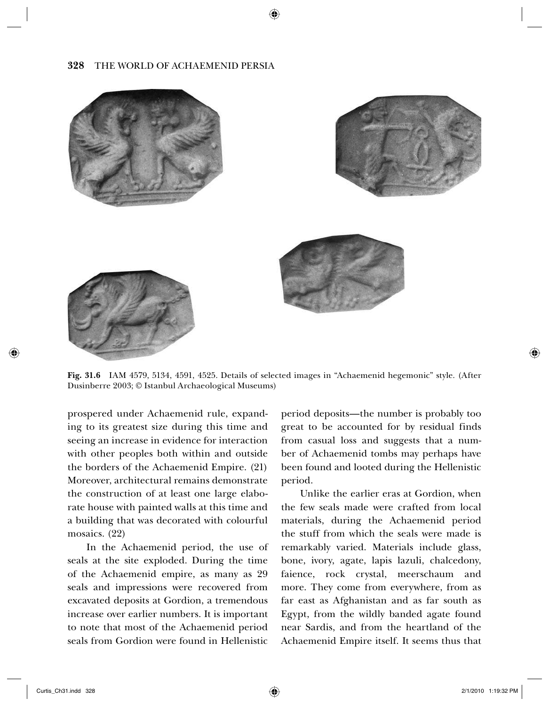↔

#### **328** THE WORLD OF ACHAEMENID PERSIA



**Fig. 31.6** IAM 4579, 5134, 4591, 4525. Details of selected images in "Achaemenid hegemonic" style. (After Dusinberre 2003; © Istanbul Archaeological Museums)

prospered under Achaemenid rule, expanding to its greatest size during this time and seeing an increase in evidence for interaction with other peoples both within and outside the borders of the Achaemenid Empire. (21) Moreover, architectural remains demonstrate the construction of at least one large elaborate house with painted walls at this time and a building that was decorated with colourful mosaics. (22)

In the Achaemenid period, the use of seals at the site exploded. During the time of the Achaemenid empire, as many as 29 seals and impressions were recovered from excavated deposits at Gordion, a tremendous increase over earlier numbers. It is important to note that most of the Achaemenid period seals from Gordion were found in Hellenistic period deposits—the number is probably too great to be accounted for by residual finds from casual loss and suggests that a number of Achaemenid tombs may perhaps have been found and looted during the Hellenistic period.

Unlike the earlier eras at Gordion, when the few seals made were crafted from local materials, during the Achaemenid period the stuff from which the seals were made is remarkably varied. Materials include glass, bone, ivory, agate, lapis lazuli, chalcedony, faience, rock crystal, meerschaum and more. They come from everywhere, from as far east as Afghanistan and as far south as Egypt, from the wildly banded agate found near Sardis, and from the heartland of the Achaemenid Empire itself. It seems thus that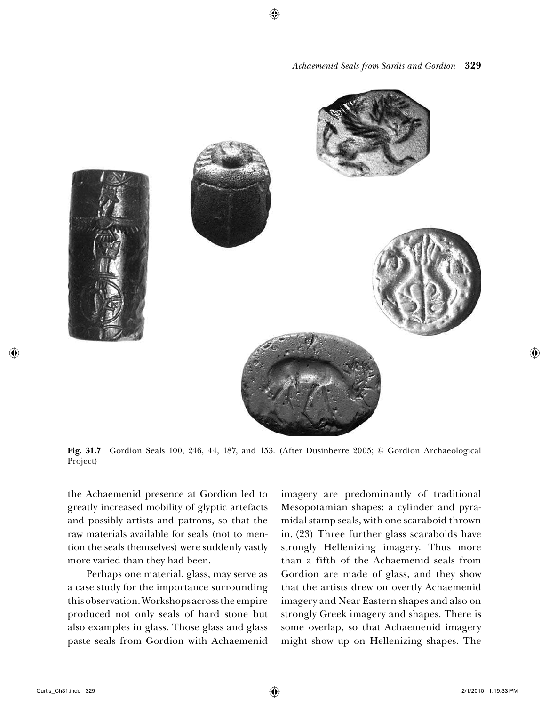

**Fig. 31.7** Gordion Seals 100, 246, 44, 187, and 153. (After Dusinberre 2005; © Gordion Archaeological Project)

the Achaemenid presence at Gordion led to greatly increased mobility of glyptic artefacts and possibly artists and patrons, so that the raw materials available for seals (not to mention the seals themselves) were suddenly vastly more varied than they had been.

Perhaps one material, glass, may serve as a case study for the importance surrounding this observation. Workshops across the empire produced not only seals of hard stone but also examples in glass. Those glass and glass paste seals from Gordion with Achaemenid imagery are predominantly of traditional Mesopotamian shapes: a cylinder and pyramidal stamp seals, with one scaraboid thrown in. (23) Three further glass scaraboids have strongly Hellenizing imagery. Thus more than a fifth of the Achaemenid seals from Gordion are made of glass, and they show that the artists drew on overtly Achaemenid imagery and Near Eastern shapes and also on strongly Greek imagery and shapes. There is some overlap, so that Achaemenid imagery might show up on Hellenizing shapes. The

◈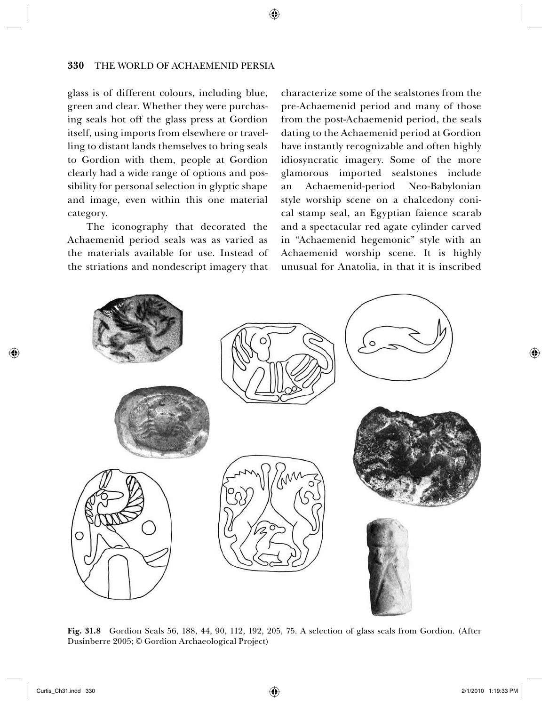#### **330** THE WORLD OF ACHAEMENID PERSIA

glass is of different colours, including blue, green and clear. Whether they were purchasing seals hot off the glass press at Gordion itself, using imports from elsewhere or travelling to distant lands themselves to bring seals to Gordion with them, people at Gordion clearly had a wide range of options and possibility for personal selection in glyptic shape and image, even within this one material category.

The iconography that decorated the Achaemenid period seals was as varied as the materials available for use. Instead of the striations and nondescript imagery that characterize some of the sealstones from the pre-Achaemenid period and many of those from the post-Achaemenid period, the seals dating to the Achaemenid period at Gordion have instantly recognizable and often highly idiosyncratic imagery. Some of the more glamorous imported sealstones include an Achaemenid-period Neo-Babylonian style worship scene on a chalcedony conical stamp seal, an Egyptian faience scarab and a spectacular red agate cylinder carved in "Achaemenid hegemonic" style with an Achaemenid worship scene. It is highly unusual for Anatolia, in that it is inscribed



**Fig. 31.8** Gordion Seals 56, 188, 44, 90, 112, 192, 205, 75. A selection of glass seals from Gordion. (After Dusinberre 2005; © Gordion Archaeological Project)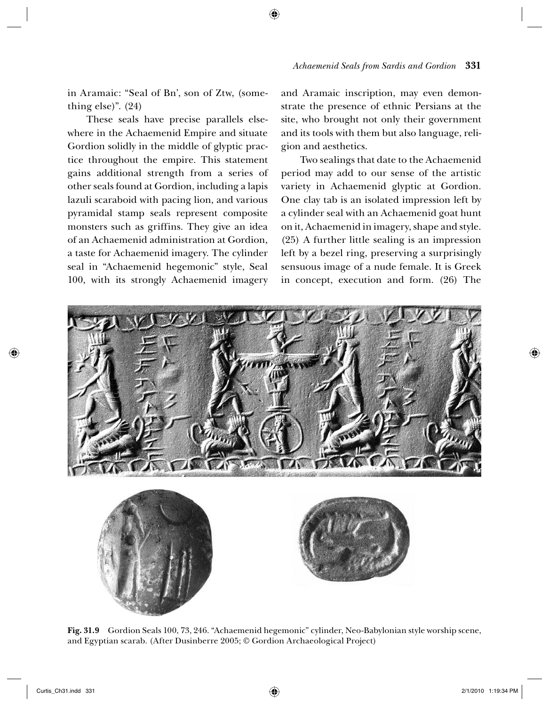in Aramaic: "Seal of Bn', son of Ztw, (something else)". (24)

These seals have precise parallels elsewhere in the Achaemenid Empire and situate Gordion solidly in the middle of glyptic practice throughout the empire. This statement gains additional strength from a series of other seals found at Gordion, including a lapis lazuli scaraboid with pacing lion, and various pyramidal stamp seals represent composite monsters such as griffins. They give an idea of an Achaemenid administration at Gordion, a taste for Achaemenid imagery. The cylinder seal in "Achaemenid hegemonic" style, Seal 100, with its strongly Achaemenid imagery and Aramaic inscription, may even demonstrate the presence of ethnic Persians at the site, who brought not only their government and its tools with them but also language, religion and aesthetics.

Two sealings that date to the Achaemenid period may add to our sense of the artistic variety in Achaemenid glyptic at Gordion. One clay tab is an isolated impression left by a cylinder seal with an Achaemenid goat hunt on it, Achaemenid in imagery, shape and style. (25) A further little sealing is an impression left by a bezel ring, preserving a surprisingly sensuous image of a nude female. It is Greek in concept, execution and form. (26) The



◈

**Fig. 31.9** Gordion Seals 100, 73, 246. "Achaemenid hegemonic" cylinder, Neo-Babylonian style worship scene, and Egyptian scarab. (After Dusinberre 2005; © Gordion Archaeological Project)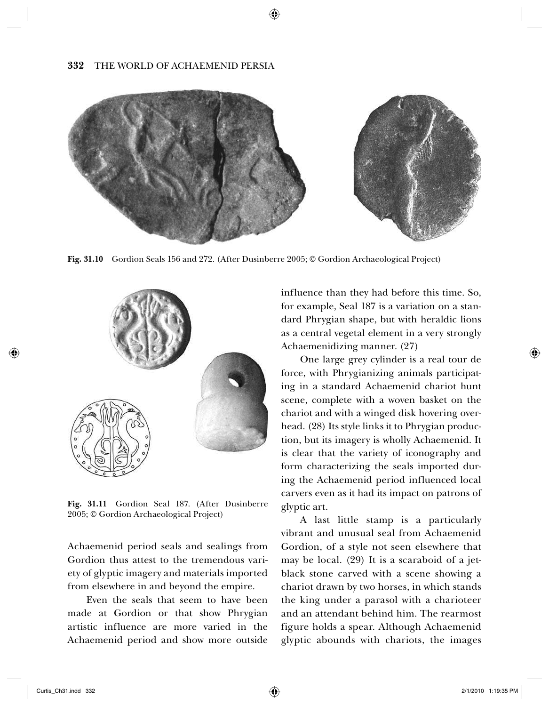#### **332** THE WORLD OF ACHAEMENID PERSIA



**Fig. 31.10** Gordion Seals 156 and 272. (After Dusinberre 2005; © Gordion Archaeological Project)



**Fig. 31.11** Gordion Seal 187. (After Dusinberre 2005; © Gordion Archaeological Project)

Achaemenid period seals and sealings from Gordion thus attest to the tremendous variety of glyptic imagery and materials imported from elsewhere in and beyond the empire.

Even the seals that seem to have been made at Gordion or that show Phrygian artistic influence are more varied in the Achaemenid period and show more outside influence than they had before this time. So, for example, Seal 187 is a variation on a standard Phrygian shape, but with heraldic lions as a central vegetal element in a very strongly Achaemenidizing manner. (27)

One large grey cylinder is a real tour de force, with Phrygianizing animals participating in a standard Achaemenid chariot hunt scene, complete with a woven basket on the chariot and with a winged disk hovering overhead. (28) Its style links it to Phrygian production, but its imagery is wholly Achaemenid. It is clear that the variety of iconography and form characterizing the seals imported during the Achaemenid period influenced local carvers even as it had its impact on patrons of glyptic art.

A last little stamp is a particularly vibrant and unusual seal from Achaemenid Gordion, of a style not seen elsewhere that may be local. (29) It is a scaraboid of a jetblack stone carved with a scene showing a chariot drawn by two horses, in which stands the king under a parasol with a charioteer and an attendant behind him. The rearmost figure holds a spear. Although Achaemenid glyptic abounds with chariots, the images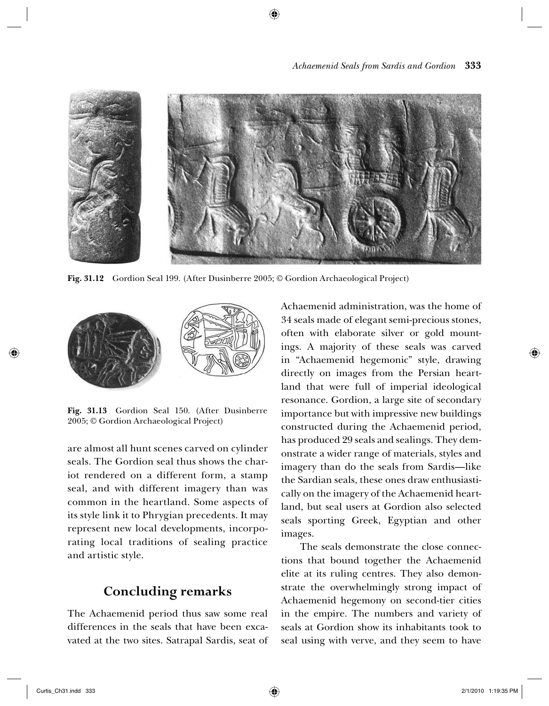



**Fig. 31.12** Gordion Seal 199. (After Dusinberre 2005; © Gordion Archaeological Project)



**Fig. 31.13** Gordion Seal 150. (After Dusinberre 2005; © Gordion Archaeological Project)

are almost all hunt scenes carved on cylinder seals. The Gordion seal thus shows the chariot rendered on a different form, a stamp seal, and with different imagery than was common in the heartland. Some aspects of its style link it to Phrygian precedents. It may represent new local developments, incorporating local traditions of sealing practice and artistic style.

# **Concluding remarks**

The Achaemenid period thus saw some real differences in the seals that have been excavated at the two sites. Satrapal Sardis, seat of Achaemenid administration, was the home of 34 seals made of elegant semi-precious stones, often with elaborate silver or gold mountings. A majority of these seals was carved in "Achaemenid hegemonic" style, drawing directly on images from the Persian heartland that were full of imperial ideological resonance. Gordion, a large site of secondary importance but with impressive new buildings constructed during the Achaemenid period, has produced 29 seals and sealings. They demonstrate a wider range of materials, styles and imagery than do the seals from Sardis—like the Sardian seals, these ones draw enthusiastically on the imagery of the Achaemenid heartland, but seal users at Gordion also selected seals sporting Greek, Egyptian and other images.

The seals demonstrate the close connections that bound together the Achaemenid elite at its ruling centres. They also demonstrate the overwhelmingly strong impact of Achaemenid hegemony on second-tier cities in the empire. The numbers and variety of seals at Gordion show its inhabitants took to seal using with verve, and they seem to have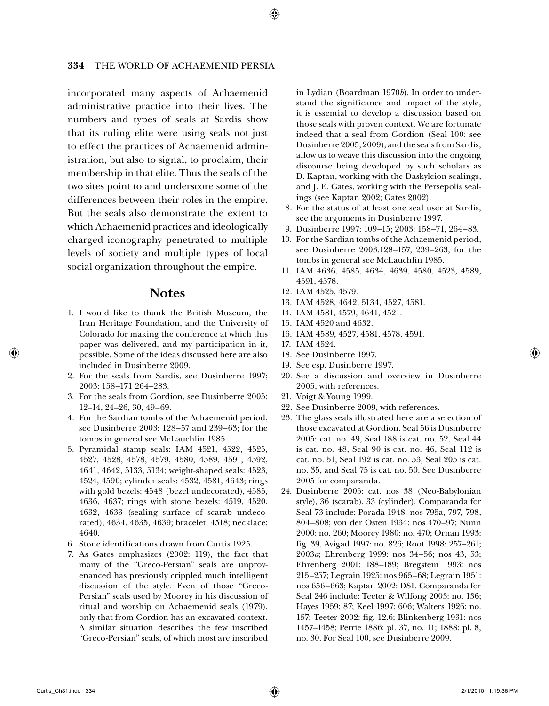#### **334** THE WORLD OF ACHAEMENID PERSIA

incorporated many aspects of Achaemenid administrative practice into their lives. The numbers and types of seals at Sardis show that its ruling elite were using seals not just to effect the practices of Achaemenid administration, but also to signal, to proclaim, their membership in that elite. Thus the seals of the two sites point to and underscore some of the differences between their roles in the empire. But the seals also demonstrate the extent to which Achaemenid practices and ideologically charged iconography penetrated to multiple levels of society and multiple types of local social organization throughout the empire.

#### **Notes**

- 1. I would like to thank the British Museum, the Iran Heritage Foundation, and the University of Colorado for making the conference at which this paper was delivered, and my participation in it, possible. Some of the ideas discussed here are also included in Dusinberre 2009.
- 2. For the seals from Sardis, see Dusinberre 1997; 2003: 158–171 264–283.
- 3. For the seals from Gordion, see Dusinberre 2005: 12–14, 24–26, 30, 49–69.
- 4. For the Sardian tombs of the Achaemenid period, see Dusinberre 2003: 128–57 and 239–63; for the tombs in general see McLauchlin 1985.
- 5. Pyramidal stamp seals: IAM 4521, 4522, 4525, 4527, 4528, 4578, 4579, 4580, 4589, 4591, 4592, 4641, 4642, 5133, 5134; weight-shaped seals: 4523, 4524, 4590; cylinder seals: 4532, 4581, 4643; rings with gold bezels: 4548 (bezel undecorated), 4585, 4636, 4637; rings with stone bezels: 4519, 4520, 4632, 4633 (sealing surface of scarab undecorated), 4634, 4635, 4639; bracelet: 4518; necklace: 4640.
- 6. Stone identifications drawn from Curtis 1925.
- 7. As Gates emphasizes (2002: 119), the fact that many of the "Greco-Persian" seals are unprovenanced has previously crippled much intelligent discussion of the style. Even of those "Greco-Persian" seals used by Moorey in his discussion of ritual and worship on Achaemenid seals (1979), only that from Gordion has an excavated context. A similar situation describes the few inscribed "Greco-Persian" seals, of which most are inscribed

 in Lydian (Boardman 1970*b*). In order to understand the significance and impact of the style, it is essential to develop a discussion based on those seals with proven context. We are fortunate indeed that a seal from Gordion (Seal 100: see Dusinberre 2005; 2009), and the seals from Sardis, allow us to weave this discussion into the ongoing discourse being developed by such scholars as D. Kaptan, working with the Daskyleion sealings, and J. E. Gates, working with the Persepolis sealings (see Kaptan 2002; Gates 2002).

- 8. For the status of at least one seal user at Sardis, see the arguments in Dusinberre 1997.
- 9. Dusinberre 1997: 109–15; 2003: 158–71, 264–83.
- 10. For the Sardian tombs of the Achaemenid period, see Dusinberre 2003:128–157, 239–263; for the tombs in general see McLauchlin 1985.
- 11. IAM 4636, 4585, 4634, 4639, 4580, 4523, 4589, 4591, 4578.
- 12. IAM 4525, 4579.
- 13. IAM 4528, 4642, 5134, 4527, 4581.
- 14. IAM 4581, 4579, 4641, 4521.
- 15. IAM 4520 and 4632.
- 16. IAM 4589, 4527, 4581, 4578, 4591.
- 17. IAM 4524.
- 18. See Dusinberre 1997.
- 19. See esp. Dusinberre 1997.
- 20. See a discussion and overview in Dusinberre 2005, with references.
- 21. Voigt & Young 1999.
- 22. See Dusinberre 2009, with references.
- 23. The glass seals illustrated here are a selection of those excavated at Gordion. Seal 56 is Dusinberre 2005: cat. no. 49, Seal 188 is cat. no. 52, Seal 44 is cat. no. 48, Seal 90 is cat. no. 46, Seal 112 is cat. no. 51, Seal 192 is cat. no. 53, Seal 205 is cat. no. 35, and Seal 75 is cat. no. 50. See Dusinberre 2005 for comparanda.
- 24. Dusinberre 2005: cat. nos 38 (Neo-Babylonian style), 36 (scarab), 33 (cylinder). Comparanda for Seal 73 include: Porada 1948: nos 795a, 797, 798, 804–808; von der Osten 1934: nos 470–97; Nunn 2000: no. 260; Moorey 1980: no. 470; Ornan 1993: fig. 39, Avigad 1997: no. 826; Root 1998: 257–261; 2003*a*; Ehrenberg 1999: nos 34–56; nos 43, 53; Ehrenberg 2001: 188–189; Bregstein 1993: nos 215–257; Legrain 1925: nos 965–68; Legrain 1951: nos 656–663; Kaptan 2002: DS1. Comparanda for Seal 246 include: Teeter & Wilfong 2003: no. 136; Hayes 1959: 87; Keel 1997: 606; Walters 1926: no. 157; Teeter 2002: fig. 12.6; Blinkenberg 1931: nos 1457–1458; Petrie 1886: pl. 37, no. 11; 1888: pl. 8, no. 30. For Seal 100, see Dusinberre 2009.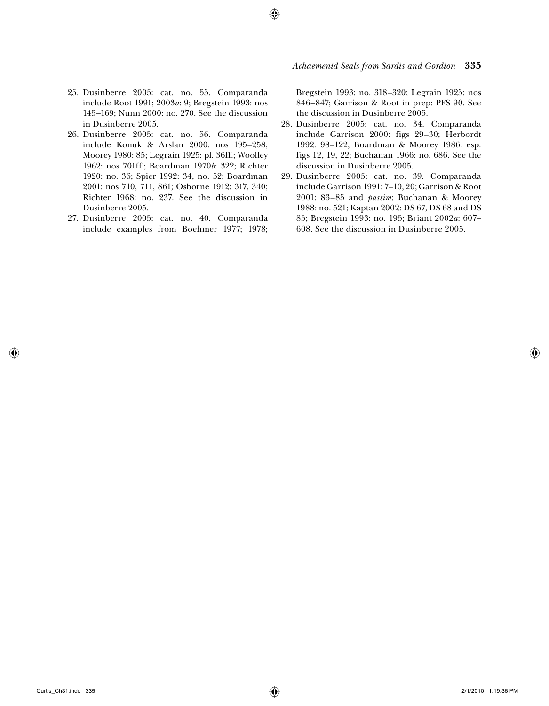*Achaemenid Seals from Sardis and Gordion* **335**

- 25. Dusinberre 2005: cat. no. 55. Comparanda include Root 1991; 2003*a*: 9; Bregstein 1993: nos 145–169; Nunn 2000: no. 270. See the discussion in Dusinberre 2005.
- 26. Dusinberre 2005: cat. no. 56. Comparanda include Konuk & Arslan 2000: nos 195–258; Moorey 1980: 85; Legrain 1925: pl. 36ff.; Woolley 1962: nos 701ff.; Boardman 1970*b*: 322; Richter 1920: no. 36; Spier 1992: 34, no. 52; Boardman 2001: nos 710, 711, 861; Osborne 1912: 317, 340; Richter 1968: no. 237. See the discussion in Dusinberre 2005.
- 27. Dusinberre 2005: cat. no. 40. Comparanda include examples from Boehmer 1977; 1978;

Bregstein 1993: no. 318–320; Legrain 1925: nos 846–847; Garrison & Root in prep: PFS 90. See the discussion in Dusinberre 2005.

- 28. Dusinberre 2005: cat. no. 34. Comparanda include Garrison 2000: figs 29–30; Herbordt 1992: 98–122; Boardman & Moorey 1986: esp. figs 12, 19, 22; Buchanan 1966: no. 686. See the discussion in Dusinberre 2005.
- 29. Dusinberre 2005: cat. no. 39. Comparanda include Garrison 1991: 7–10, 20; Garrison & Root 2001: 83–85 and *passim*; Buchanan & Moorey 1988: no. 521; Kaptan 2002: DS 67, DS 68 and DS 85; Bregstein 1993: no. 195; Briant 2002*a*: 607– 608. See the discussion in Dusinberre 2005.

◈